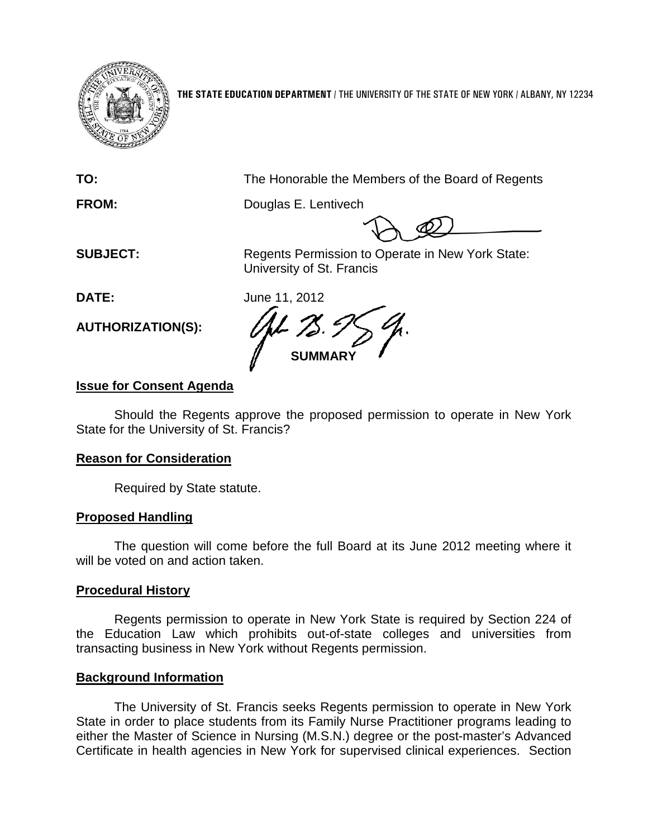

**THE STATE EDUCATION DEPARTMENT** / THE UNIVERSITY OF THE STATE OF NEW YORK / ALBANY, NY 12234

**TO:** The Honorable the Members of the Board of Regents

**FROM:** Douglas E. Lentivech

**SUBJECT:** Regents Permission to Operate in New York State: University of St. Francis

**DATE:** June 11, 2012

**SUMMARY**

# **Issue for Consent Agenda**

**AUTHORIZATION(S):**

Should the Regents approve the proposed permission to operate in New York State for the University of St. Francis?

# **Reason for Consideration**

Required by State statute.

# **Proposed Handling**

The question will come before the full Board at its June 2012 meeting where it will be voted on and action taken.

# **Procedural History**

Regents permission to operate in New York State is required by Section 224 of the Education Law which prohibits out-of-state colleges and universities from transacting business in New York without Regents permission.

### **Background Information**

The University of St. Francis seeks Regents permission to operate in New York State in order to place students from its Family Nurse Practitioner programs leading to either the Master of Science in Nursing (M.S.N.) degree or the post-master's Advanced Certificate in health agencies in New York for supervised clinical experiences. Section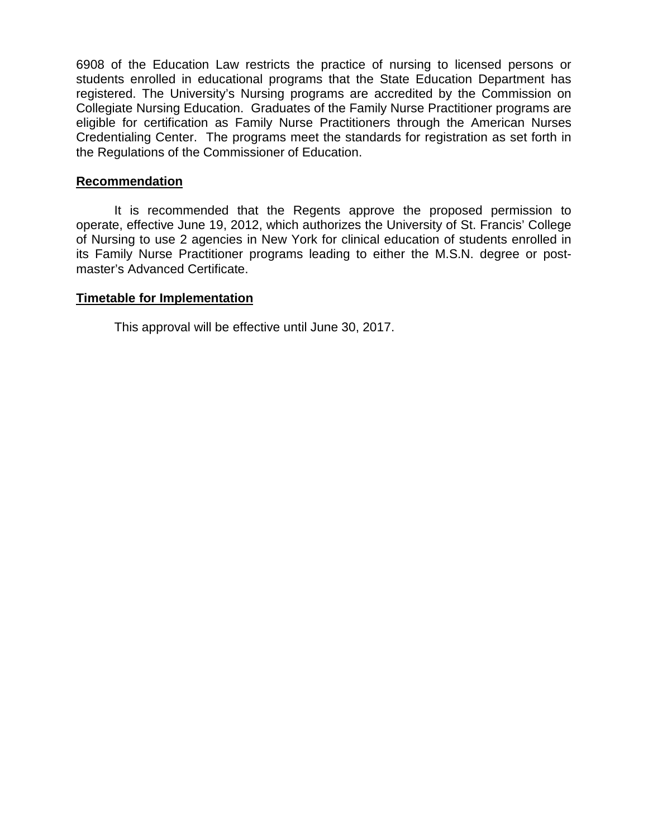6908 of the Education Law restricts the practice of nursing to licensed persons or students enrolled in educational programs that the State Education Department has registered. The University's Nursing programs are accredited by the Commission on Collegiate Nursing Education. Graduates of the Family Nurse Practitioner programs are eligible for certification as Family Nurse Practitioners through the American Nurses Credentialing Center. The programs meet the standards for registration as set forth in the Regulations of the Commissioner of Education.

### **Recommendation**

It is recommended that the Regents approve the proposed permission to operate, effective June 19, 2012, which authorizes the University of St. Francis' College of Nursing to use 2 agencies in New York for clinical education of students enrolled in its Family Nurse Practitioner programs leading to either the M.S.N. degree or postmaster's Advanced Certificate.

### **Timetable for Implementation**

This approval will be effective until June 30, 2017.